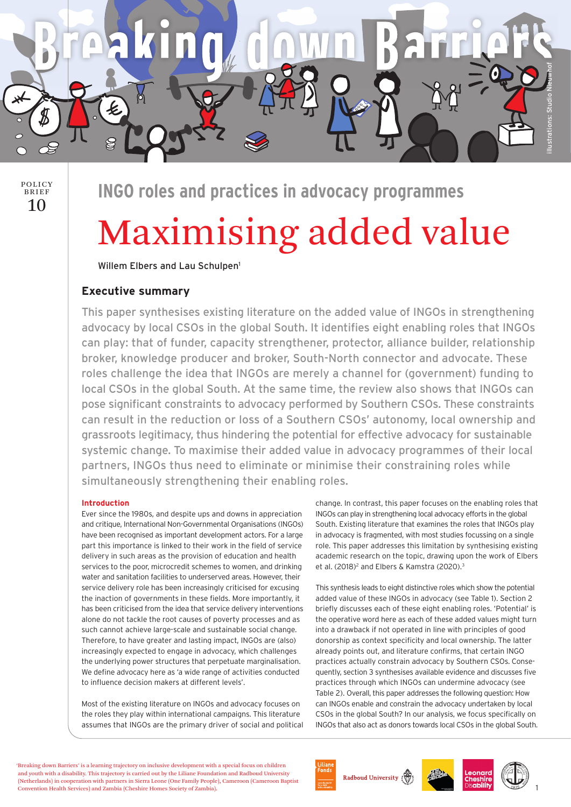



**INGO roles and practices in advocacy programmes**

# Maximising added value

Willem Elbers and Lau Schulpen1

## **Executive summary**

This paper synthesises existing literature on the added value of INGOs in strengthening advocacy by local CSOs in the global South. It identifies eight enabling roles that INGOs can play: that of funder, capacity strengthener, protector, alliance builder, relationship broker, knowledge producer and broker, South-North connector and advocate. These roles challenge the idea that INGOs are merely a channel for (government) funding to local CSOs in the global South. At the same time, the review also shows that INGOs can pose significant constraints to advocacy performed by Southern CSOs. These constraints can result in the reduction or loss of a Southern CSOs' autonomy, local ownership and grassroots legitimacy, thus hindering the potential for effective advocacy for sustainable systemic change. To maximise their added value in advocacy programmes of their local partners, INGOs thus need to eliminate or minimise their constraining roles while simultaneously strengthening their enabling roles.

## **Introduction**

Ever since the 1980s, and despite ups and downs in appreciation and critique, International Non-Governmental Organisations (INGOs) have been recognised as important development actors. For a large part this importance is linked to their work in the field of service delivery in such areas as the provision of education and health services to the poor, microcredit schemes to women, and drinking water and sanitation facilities to underserved areas. However, their service delivery role has been increasingly criticised for excusing the inaction of governments in these fields. More importantly, it has been criticised from the idea that service delivery interventions alone do not tackle the root causes of poverty processes and as such cannot achieve large-scale and sustainable social change. Therefore, to have greater and lasting impact, INGOs are (also) increasingly expected to engage in advocacy, which challenges the underlying power structures that perpetuate marginalisation. We define advocacy here as 'a wide range of activities conducted to influence decision makers at different levels'.

Most of the existing literature on INGOs and advocacy focuses on the roles they play within international campaigns. This literature assumes that INGOs are the primary driver of social and political change. In contrast, this paper focuses on the enabling roles that INGOs can play in strengthening local advocacy efforts in the global South. Existing literature that examines the roles that INGOs play in advocacy is fragmented, with most studies focussing on a single role. This paper addresses this limitation by synthesising existing academic research on the topic, drawing upon the work of Elbers et al. (2018)<sup>2</sup> and Elbers & Kamstra (2020).<sup>3</sup>

This synthesis leads to eight distinctive roles which show the potential added value of these INGOs in advocacy (see Table 1). Section 2 briefly discusses each of these eight enabling roles. 'Potential' is the operative word here as each of these added values might turn into a drawback if not operated in line with principles of good donorship as context specificity and local ownership. The latter already points out, and literature confirms, that certain INGO practices actually constrain advocacy by Southern CSOs. Consequently, section 3 synthesises available evidence and discusses five practices through which INGOs can undermine advocacy (see Table 2). Overall, this paper addresses the following question: How can INGOs enable and constrain the advocacy undertaken by local CSOs in the global South? In our analysis, we focus specifically on INGOs that also act as donors towards local CSOs in the global South.

'Breaking down Barriers' is a learning trajectory on inclusive development with a special focus on children and youth with a disability. This trajectory is carried out by the Liliane Foundation and Radboud University (Netherlands) in cooperation with partners in Sierra Leone (One Family People), Cameroon (Cameroon Baptist Convention Health Services) and Zambia (Cheshire Homes Society of Zambia).

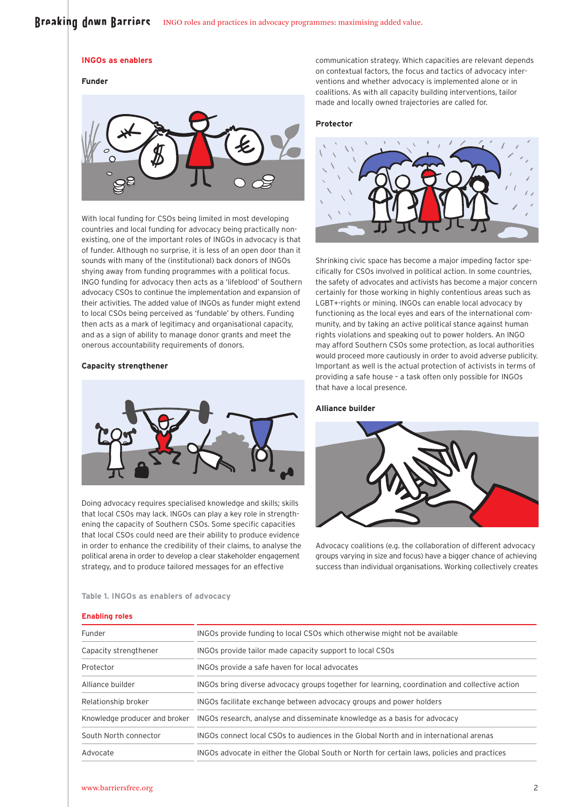# Broaking down Barriors INGO roles and practices in advocacy programmes: maximising added value.

#### **INGOs as enablers**

## **Funder**



With local funding for CSOs being limited in most developing countries and local funding for advocacy being practically nonexisting, one of the important roles of INGOs in advocacy is that of funder. Although no surprise, it is less of an open door than it sounds with many of the (institutional) back donors of INGOs shying away from funding programmes with a political focus. INGO funding for advocacy then acts as a 'lifeblood' of Southern advocacy CSOs to continue the implementation and expansion of their activities. The added value of INGOs as funder might extend to local CSOs being perceived as 'fundable' by others. Funding then acts as a mark of legitimacy and organisational capacity, and as a sign of ability to manage donor grants and meet the onerous accountability requirements of donors.

## **Capacity strengthener**



Doing advocacy requires specialised knowledge and skills; skills that local CSOs may lack. INGOs can play a key role in strengthening the capacity of Southern CSOs. Some specific capacities that local CSOs could need are their ability to produce evidence in order to enhance the credibility of their claims, to analyse the political arena in order to develop a clear stakeholder engagement strategy, and to produce tailored messages for an effective

communication strategy. Which capacities are relevant depends on contextual factors, the focus and tactics of advocacy interventions and whether advocacy is implemented alone or in coalitions. As with all capacity building interventions, tailor made and locally owned trajectories are called for.

## **Protector**



Shrinking civic space has become a major impeding factor specifically for CSOs involved in political action. In some countries, the safety of advocates and activists has become a major concern certainly for those working in highly contentious areas such as LGBT+-rights or mining. INGOs can enable local advocacy by functioning as the local eyes and ears of the international community, and by taking an active political stance against human rights violations and speaking out to power holders. An INGO may afford Southern CSOs some protection, as local authorities would proceed more cautiously in order to avoid adverse publicity. Important as well is the actual protection of activists in terms of providing a safe house – a task often only possible for INGOs that have a local presence.

#### **Alliance builder**



Advocacy coalitions (e.g. the collaboration of different advocacy groups varying in size and focus) have a bigger chance of achieving success than individual organisations. Working collectively creates

# **Table 1. INGOs as enablers of advocacy**

## **Enabling roles**

| Funder                        | INGOs provide funding to local CSOs which otherwise might not be available                    |
|-------------------------------|-----------------------------------------------------------------------------------------------|
| Capacity strengthener         | INGOs provide tailor made capacity support to local CSOs                                      |
| Protector                     | INGOs provide a safe haven for local advocates                                                |
| Alliance builder              | INGOs bring diverse advocacy groups together for learning, coordination and collective action |
| Relationship broker           | INGOs facilitate exchange between advocacy groups and power holders                           |
| Knowledge producer and broker | INGOs research, analyse and disseminate knowledge as a basis for advocacy                     |
| South North connector         | INGOs connect local CSOs to audiences in the Global North and in international arenas         |
| Advocate                      | INGOs advocate in either the Global South or North for certain laws, policies and practices   |
|                               |                                                                                               |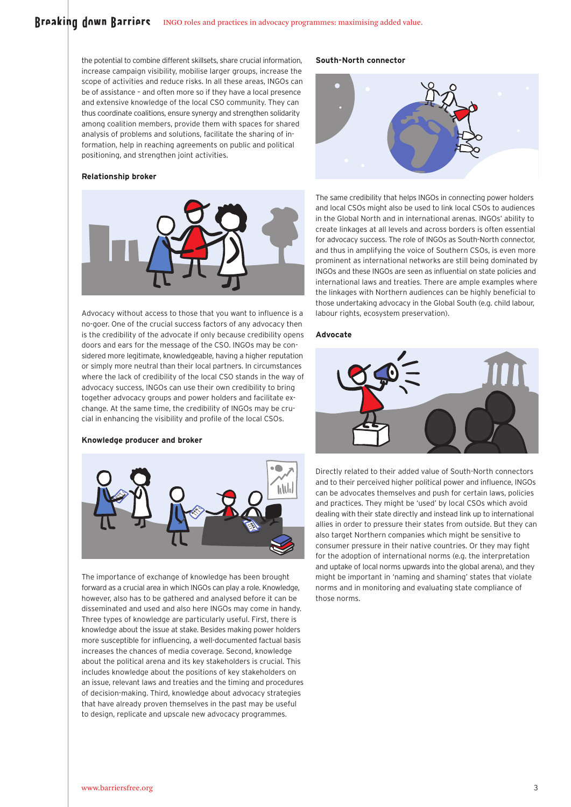the potential to combine different skillsets, share crucial information, increase campaign visibility, mobilise larger groups, increase the scope of activities and reduce risks. In all these areas, INGOs can be of assistance – and often more so if they have a local presence and extensive knowledge of the local CSO community. They can thus coordinate coalitions, ensure synergy and strengthen solidarity among coalition members, provide them with spaces for shared analysis of problems and solutions, facilitate the sharing of information, help in reaching agreements on public and political positioning, and strengthen joint activities.

#### **Relationship broker**



Advocacy without access to those that you want to influence is a no-goer. One of the crucial success factors of any advocacy then is the credibility of the advocate if only because credibility opens doors and ears for the message of the CSO. INGOs may be considered more legitimate, knowledgeable, having a higher reputation or simply more neutral than their local partners. In circumstances where the lack of credibility of the local CSO stands in the way of advocacy success, INGOs can use their own credibility to bring together advocacy groups and power holders and facilitate exchange. At the same time, the credibility of INGOs may be crucial in enhancing the visibility and profile of the local CSOs.

## **Knowledge producer and broker**



The importance of exchange of knowledge has been brought forward as a crucial area in which INGOs can play a role. Knowledge, however, also has to be gathered and analysed before it can be disseminated and used and also here INGOs may come in handy. Three types of knowledge are particularly useful. First, there is knowledge about the issue at stake. Besides making power holders more susceptible for influencing, a well-documented factual basis increases the chances of media coverage. Second, knowledge about the political arena and its key stakeholders is crucial. This includes knowledge about the positions of key stakeholders on an issue, relevant laws and treaties and the timing and procedures of decision-making. Third, knowledge about advocacy strategies that have already proven themselves in the past may be useful to design, replicate and upscale new advocacy programmes.

## **South-North connector**



The same credibility that helps INGOs in connecting power holders and local CSOs might also be used to link local CSOs to audiences in the Global North and in international arenas. INGOs' ability to create linkages at all levels and across borders is often essential for advocacy success. The role of INGOs as South-North connector, and thus in amplifying the voice of Southern CSOs, is even more prominent as international networks are still being dominated by INGOs and these INGOs are seen as influential on state policies and international laws and treaties. There are ample examples where the linkages with Northern audiences can be highly beneficial to those undertaking advocacy in the Global South (e.g. child labour, labour rights, ecosystem preservation).

## **Advocate**



Directly related to their added value of South-North connectors and to their perceived higher political power and influence, INGOs can be advocates themselves and push for certain laws, policies and practices. They might be 'used' by local CSOs which avoid dealing with their state directly and instead link up to international allies in order to pressure their states from outside. But they can also target Northern companies which might be sensitive to consumer pressure in their native countries. Or they may fight for the adoption of international norms (e.g. the interpretation and uptake of local norms upwards into the global arena), and they might be important in 'naming and shaming' states that violate norms and in monitoring and evaluating state compliance of those norms.